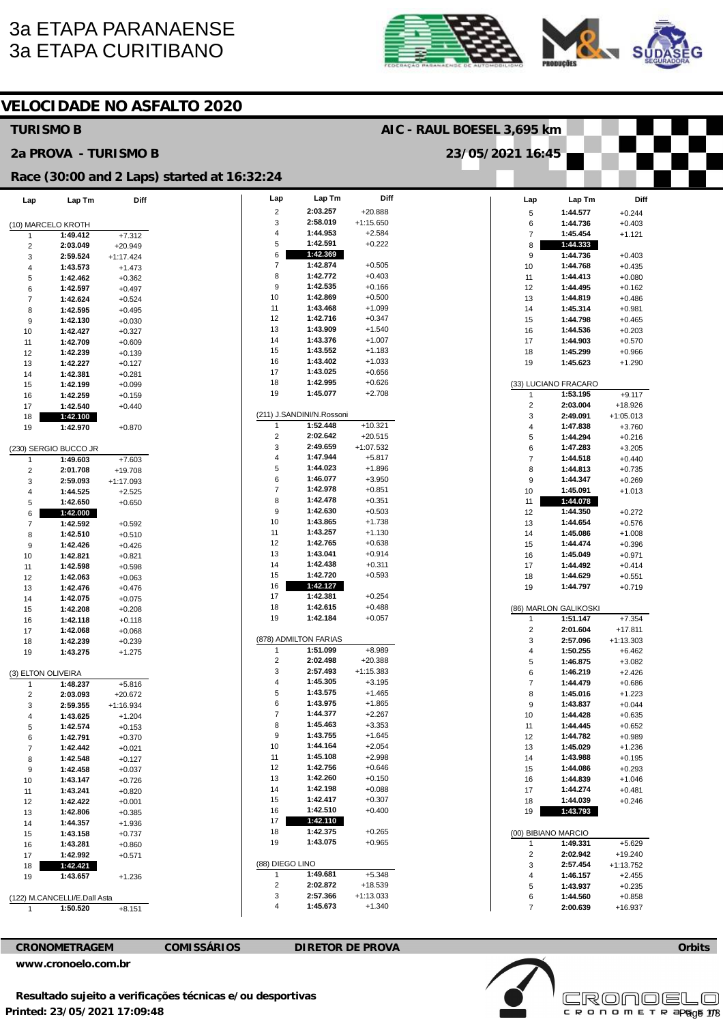## 3a ETAPA PARANAENSE 3a ETAPA CURITIBANO





**Orbits** 

Page 1/3

**Licensed to: Cronoelo** 

| <b>VELOCIDADE NO ASFALTO 2020</b> |                              |                      |                                             |                            |                           |                          |  |                              |                       |                       |  |
|-----------------------------------|------------------------------|----------------------|---------------------------------------------|----------------------------|---------------------------|--------------------------|--|------------------------------|-----------------------|-----------------------|--|
|                                   | <b>TURISMO B</b>             |                      |                                             | AIC - RAUL BOESEL 3,695 km |                           |                          |  |                              |                       |                       |  |
|                                   | 2a PROVA - TURISMO B         |                      |                                             | 23/05/2021 16:45           |                           |                          |  |                              |                       |                       |  |
|                                   |                              |                      | Race (30:00 and 2 Laps) started at 16:32:24 |                            |                           |                          |  |                              |                       |                       |  |
| Lap                               | Lap Tm                       | Diff                 |                                             | Lap                        | Lap Tm                    | Diff                     |  | Lap                          | Lap Tm                | Diff                  |  |
|                                   |                              |                      |                                             | $\overline{c}$             | 2:03.257                  | $+20.888$                |  | 5                            | 1:44.577              | $+0.244$              |  |
|                                   | (10) MARCELO KROTH           |                      |                                             | 3                          | 2:58.019                  | $+1:15.650$              |  | 6                            | 1:44.736              | $+0.403$              |  |
| 1                                 | 1:49.412                     | $+7.312$             |                                             | 4                          | 1:44.953                  | $+2.584$                 |  | $\overline{7}$               | 1:45.454              | $+1.121$              |  |
| $\overline{c}$                    | 2:03.049                     | $+20.949$            |                                             | 5                          | 1:42.591                  | $+0.222$                 |  | 8                            | 1:44.333              |                       |  |
| 3                                 | 2:59.524                     | $+1:17.424$          |                                             | 6<br>$\overline{7}$        | 1:42.369<br>1:42.874      | $+0.505$                 |  | 9<br>10                      | 1:44.736<br>1:44.768  | $+0.403$<br>$+0.435$  |  |
| 4<br>5                            | 1:43.573<br>1:42.462         | $+1.473$             |                                             | 8                          | 1:42.772                  | $+0.403$                 |  | 11                           | 1:44.413              | $+0.080$              |  |
| 6                                 | 1:42.597                     | $+0.362$<br>$+0.497$ |                                             | 9                          | 1:42.535                  | $+0.166$                 |  | 12                           | 1:44.495              | $+0.162$              |  |
| $\overline{7}$                    | 1:42.624                     | $+0.524$             |                                             | 10                         | 1:42.869                  | $+0.500$                 |  | 13                           | 1:44.819              | $+0.486$              |  |
| 8                                 | 1:42.595                     | $+0.495$             |                                             | 11                         | 1:43.468                  | $+1.099$                 |  | 14                           | 1:45.314              | $+0.981$              |  |
| 9                                 | 1:42.130                     | $+0.030$             |                                             | 12                         | 1:42.716                  | $+0.347$                 |  | 15                           | 1:44.798              | $+0.465$              |  |
| 10                                | 1:42.427                     | $+0.327$             |                                             | 13                         | 1:43.909                  | $+1.540$                 |  | 16                           | 1:44.536              | $+0.203$              |  |
| 11                                | 1:42.709                     | $+0.609$             |                                             | 14                         | 1:43.376                  | $+1.007$                 |  | 17                           | 1:44.903              | $+0.570$              |  |
| 12                                | 1:42.239                     | $+0.139$             |                                             | 15                         | 1:43.552                  | $+1.183$                 |  | 18                           | 1:45.299              | $+0.966$              |  |
| 13                                | 1:42.227                     | $+0.127$             |                                             | 16                         | 1:43.402                  | $+1.033$                 |  | 19                           | 1:45.623              | $+1.290$              |  |
| 14                                | 1:42.381                     | $+0.281$             |                                             | 17                         | 1:43.025                  | $+0.656$                 |  |                              |                       |                       |  |
| 15                                | 1:42.199                     | $+0.099$             |                                             | 18                         | 1:42.995                  | $+0.626$                 |  |                              | (33) LUCIANO FRACARO  |                       |  |
| 16                                | 1:42.259                     | $+0.159$             |                                             | 19                         | 1:45.077                  | $+2.708$                 |  | 1                            | 1:53.195              | $+9.117$              |  |
| 17                                | 1:42.540                     | $+0.440$             |                                             |                            | (211) J.SANDINI/N.Rossoni |                          |  | $\overline{\mathbf{c}}$      | 2:03.004              | +18.926               |  |
| 18                                | 1:42.100                     |                      |                                             | $\mathbf{1}$               | 1:52.448                  | $+10.321$                |  | 3<br>$\overline{\mathbf{4}}$ | 2:49.091<br>1:47.838  | $+1:05.013$           |  |
| 19                                | 1:42.970                     | $+0.870$             |                                             | $\overline{\mathbf{c}}$    | 2:02.642                  | $+20.515$                |  | 5                            | 1:44.294              | $+3.760$<br>$+0.216$  |  |
|                                   | (230) SERGIO BUCCO JR        |                      |                                             | 3                          | 2:49.659                  | +1:07.532                |  | 6                            | 1:47.283              | $+3.205$              |  |
| 1                                 | 1:49.603                     | $+7.603$             |                                             | 4                          | 1:47.944                  | $+5.817$                 |  | $\overline{7}$               | 1:44.518              | $+0.440$              |  |
| $\overline{c}$                    | 2:01.708                     | $+19.708$            |                                             | 5                          | 1:44.023                  | $+1.896$                 |  | 8                            | 1:44.813              | $+0.735$              |  |
| 3                                 | 2:59.093                     | $+1:17.093$          |                                             | 6                          | 1:46.077                  | $+3.950$                 |  | 9                            | 1:44.347              | $+0.269$              |  |
| $\overline{4}$                    | 1:44.525                     | $+2.525$             |                                             | $\overline{7}$             | 1:42.978                  | $+0.851$                 |  | 10                           | 1:45.091              | $+1.013$              |  |
| 5                                 | 1:42.650                     | $+0.650$             |                                             | 8                          | 1:42.478                  | $+0.351$                 |  | 11                           | 1:44.078              |                       |  |
| 6                                 | 1:42.000                     |                      |                                             | 9                          | 1:42.630                  | $+0.503$                 |  | 12                           | 1:44.350              | $+0.272$              |  |
| $\overline{7}$                    | 1:42.592                     | $+0.592$             |                                             | 10                         | 1:43.865                  | $+1.738$                 |  | 13                           | 1:44.654              | $+0.576$              |  |
| 8                                 | 1:42.510                     | $+0.510$             |                                             | 11                         | 1:43.257                  | $+1.130$                 |  | 14                           | 1:45.086              | $+1.008$              |  |
| 9                                 | 1:42.426                     | $+0.426$             |                                             | 12                         | 1:42.765                  | $+0.638$                 |  | 15                           | 1:44.474              | $+0.396$              |  |
| 10                                | 1:42.821                     | $+0.821$             |                                             | 13                         | 1:43.041                  | $+0.914$                 |  | 16                           | 1:45.049              | $+0.971$              |  |
| 11                                | 1:42.598                     | $+0.598$             |                                             | 14                         | 1:42.438                  | $+0.311$                 |  | 17                           | 1:44.492              | $+0.414$              |  |
| 12                                | 1:42.063                     | $+0.063$             |                                             | 15<br>16                   | 1:42.720<br>1:42.127      | $+0.593$                 |  | 18                           | 1:44.629              | $+0.551$              |  |
| 13                                | 1:42.476                     | $+0.476$             |                                             | 17                         | 1:42.381                  | $+0.254$                 |  | 19                           | 1:44.797              | $+0.719$              |  |
| 14                                | 1:42.075                     | $+0.075$             |                                             | 18                         | 1:42.615                  | $+0.488$                 |  |                              | (86) MARLON GALIKOSKI |                       |  |
| 15<br>16                          | 1:42.208<br>1:42.118         | $+0.208$<br>$+0.118$ |                                             | 19                         | 1:42.184                  | $+0.057$                 |  | $\mathbf{1}$                 | 1:51.147              | $+7.354$              |  |
| 17                                | 1:42.068                     | $+0.068$             |                                             |                            |                           |                          |  | $\overline{2}$               | 2:01.604              | $+17.811$             |  |
| 18                                | 1:42.239                     | $+0.239$             |                                             |                            | (878) ADMILTON FARIAS     |                          |  | 3                            | 2:57.096              | $+1:13.303$           |  |
| 19                                | 1:43.275                     | $+1.275$             |                                             | 1                          | 1:51.099                  | $+8.989$                 |  | 4                            | 1:50.255              | $+6.462$              |  |
|                                   |                              |                      |                                             | $\overline{2}$             | 2:02.498                  | +20.388                  |  | 5                            | 1:46.875              | $+3.082$              |  |
|                                   | (3) ELTON OLIVEIRA           |                      |                                             | 3                          | 2:57.493                  | $+1:15.383$              |  | 6                            | 1:46.219              | $+2.426$              |  |
|                                   | 1:48.237                     | $+5.816$             |                                             | 4                          | 1:45.305                  | $+3.195$                 |  | $\overline{\mathbf{7}}$      | 1:44.479              | $+0.686$              |  |
| $\overline{2}$                    | 2:03.093                     | $+20.672$            |                                             | 5                          | 1:43.575                  | $+1.465$                 |  | 8                            | 1:45.016              | $+1.223$              |  |
| 3                                 | 2:59.355                     | $+1:16.934$          |                                             | 6                          | 1:43.975                  | $+1.865$                 |  | 9                            | 1:43.837              | $+0.044$              |  |
| 4                                 | 1:43.625                     | $+1.204$             |                                             | $\overline{7}$             | 1:44.377                  | $+2.267$                 |  | 10                           | 1:44.428              | $+0.635$              |  |
| 5                                 | 1:42.574                     | $+0.153$             |                                             | 8<br>9                     | 1:45.463<br>1:43.755      | $+3.353$<br>$+1.645$     |  | 11                           | 1:44.445              | $+0.652$              |  |
| 6                                 | 1:42.791                     | $+0.370$             |                                             | 10                         | 1:44.164                  | $+2.054$                 |  | 12<br>13                     | 1:44.782<br>1:45.029  | $+0.989$<br>$+1.236$  |  |
| $\overline{7}$<br>8               | 1:42.442<br>1:42.548         | $+0.021$<br>$+0.127$ |                                             | 11                         | 1:45.108                  | $+2.998$                 |  | 14                           | 1:43.988              | $+0.195$              |  |
| 9                                 | 1:42.458                     | $+0.037$             |                                             | 12                         | 1:42.756                  | $+0.646$                 |  | 15                           | 1:44.086              | $+0.293$              |  |
| 10                                | 1:43.147                     | $+0.726$             |                                             | 13                         | 1:42.260                  | $+0.150$                 |  | 16                           | 1:44.839              | $+1.046$              |  |
| 11                                | 1:43.241                     | $+0.820$             |                                             | 14                         | 1:42.198                  | $+0.088$                 |  | 17                           | 1:44.274              | $+0.481$              |  |
| 12                                | 1:42.422                     | $+0.001$             |                                             | 15                         | 1:42.417                  | $+0.307$                 |  | 18                           | 1:44.039              | $+0.246$              |  |
| 13                                | 1:42.806                     | $+0.385$             |                                             | 16                         | 1:42.510                  | $+0.400$                 |  | 19                           | 1:43.793              |                       |  |
| 14                                | 1:44.357                     | $+1.936$             |                                             | 17                         | 1:42.110                  |                          |  |                              |                       |                       |  |
| 15                                | 1:43.158                     | $+0.737$             |                                             | 18                         | 1:42.375                  | $+0.265$                 |  |                              | (00) BIBIANO MARCIO   |                       |  |
| 16                                | 1:43.281                     | $+0.860$             |                                             | 19                         | 1:43.075                  | $+0.965$                 |  | 1                            | 1:49.331              | $+5.629$              |  |
| 17                                | 1:42.992                     | $+0.571$             |                                             |                            |                           |                          |  | $\overline{\mathbf{c}}$      | 2:02.942              | $+19.240$             |  |
| 18                                | 1:42.421                     |                      |                                             | (88) DIEGO LINO            |                           |                          |  | 3                            | 2:57.454              | $+1:13.752$           |  |
| 19                                | 1:43.657                     | $+1.236$             |                                             | 1                          | 1:49.681                  | $+5.348$                 |  | 4                            | 1:46.157              | $+2.455$              |  |
|                                   |                              |                      |                                             | $\overline{c}$<br>3        | 2:02.872<br>2:57.366      | $+18.539$<br>$+1:13.033$ |  | 5                            | 1:43.937              | $+0.235$              |  |
|                                   | (122) M.CANCELLI/E.Dall Asta |                      |                                             | 4                          | 1:45.673                  | $+1.340$                 |  | 6<br>$\overline{7}$          | 1:44.560<br>2:00.639  | $+0.858$<br>$+16.937$ |  |
| $\mathbf{1}$                      | 1:50.520                     | $+8.151$             |                                             |                            |                           |                          |  |                              |                       |                       |  |

## **CRONOMETRAGEM COMISSÁRIOS DIRETOR DE PROVA [www.cronoelo.com.br](http://www.cronoelo.com.br)**

**Resultado sujeito a verificações técnicas e/ou desportivas** 

**Printed: 23/05/2021 17:09:48**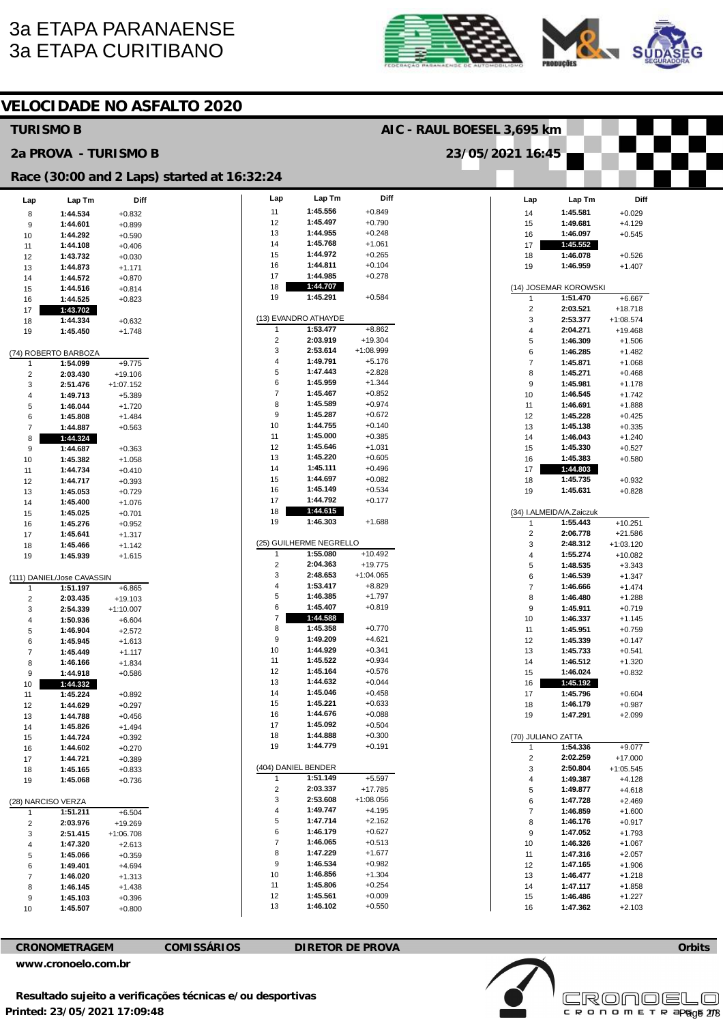## 3a ETAPA PARANAENSE 3a ETAPA CURITIBANO





| <b>VELOCIDADE NO ASFALTO 2020</b> |                            |                      |                                             |                            |                         |             |  |                         |                          |             |  |
|-----------------------------------|----------------------------|----------------------|---------------------------------------------|----------------------------|-------------------------|-------------|--|-------------------------|--------------------------|-------------|--|
| <b>TURISMO B</b>                  |                            |                      |                                             | AIC - RAUL BOESEL 3,695 km |                         |             |  |                         |                          |             |  |
|                                   | 2a PROVA - TURISMO B       |                      |                                             | 23/05/2021 16:45           |                         |             |  |                         |                          |             |  |
|                                   |                            |                      | Race (30:00 and 2 Laps) started at 16:32:24 |                            |                         |             |  |                         |                          |             |  |
| Lap                               | Lap Tm                     | Diff                 |                                             | Lap                        | Lap Tm                  | Diff        |  | Lap                     | Lap Tm                   | Diff        |  |
| 8                                 | 1:44.534                   | $+0.832$             |                                             | 11                         | 1:45.556                | $+0.849$    |  | 14                      | 1:45.581                 | $+0.029$    |  |
| 9                                 | 1:44.601                   | $+0.899$             |                                             | 12                         | 1:45.497                | $+0.790$    |  | 15                      | 1:49.681                 | $+4.129$    |  |
| 10                                | 1:44.292                   | $+0.590$             |                                             | 13                         | 1:44.955                | $+0.248$    |  | 16                      | 1:46.097                 | $+0.545$    |  |
| 11                                | 1:44.108                   | $+0.406$             |                                             | 14                         | 1:45.768                | $+1.061$    |  | 17                      | 1:45.552                 |             |  |
| 12                                | 1:43.732                   | $+0.030$             |                                             | 15                         | 1:44.972                | $+0.265$    |  | 18                      | 1:46.078                 | $+0.526$    |  |
| 13                                | 1:44.873                   |                      |                                             | 16                         | 1:44.811                | $+0.104$    |  | 19                      | 1:46.959                 | $+1.407$    |  |
| 14                                | 1:44.572                   | $+1.171$<br>$+0.870$ |                                             | 17                         | 1:44.985                | $+0.278$    |  |                         |                          |             |  |
| 15                                | 1:44.516                   | $+0.814$             |                                             | 18                         | 1:44.707                |             |  |                         | (14) JOSEMAR KOROWSKI    |             |  |
| 16                                | 1:44.525                   | $+0.823$             |                                             | 19                         | 1:45.291                | $+0.584$    |  | $\mathbf{1}$            | 1:51.470                 | $+6.667$    |  |
| 17                                | 1:43.702                   |                      |                                             |                            |                         |             |  | $\sqrt{2}$              | 2:03.521                 | $+18.718$   |  |
|                                   | 1:44.334                   |                      |                                             |                            | (13) EVANDRO ATHAYDE    |             |  | 3                       | 2:53.377                 | $+1:08.574$ |  |
| 18                                |                            | $+0.632$             |                                             | 1                          | 1:53.477                | $+8.862$    |  | 4                       | 2:04.271                 | $+19.468$   |  |
| 19                                | 1:45.450                   | $+1.748$             |                                             | $\overline{2}$             | 2:03.919                | $+19.304$   |  | 5                       | 1:46.309                 | $+1.506$    |  |
|                                   |                            |                      |                                             | 3                          | 2:53.614                | $+1:08.999$ |  | 6                       | 1:46.285                 |             |  |
|                                   | (74) ROBERTO BARBOZA       |                      |                                             | 4                          | 1:49.791                | $+5.176$    |  |                         |                          | $+1.482$    |  |
| 1                                 | 1:54.099                   | $+9.775$             |                                             |                            |                         |             |  | $\overline{7}$          | 1:45.871                 | $+1.068$    |  |
| $\overline{2}$                    | 2:03.430                   | $+19.106$            |                                             | 5                          | 1:47.443<br>1:45.959    | $+2.828$    |  | 8                       | 1:45.271                 | $+0.468$    |  |
| 3                                 | 2:51.476                   | $+1:07.152$          |                                             | 6                          |                         | $+1.344$    |  | 9                       | 1:45.981                 | $+1.178$    |  |
| 4                                 | 1:49.713                   | $+5.389$             |                                             | $\overline{7}$             | 1:45.467                | $+0.852$    |  | 10                      | 1:46.545                 | $+1.742$    |  |
| 5                                 | 1:46.044                   | $+1.720$             |                                             | 8                          | 1:45.589                | $+0.974$    |  | 11                      | 1:46.691                 | $+1.888$    |  |
| 6                                 | 1:45.808                   | $+1.484$             |                                             | 9                          | 1:45.287                | $+0.672$    |  | 12                      | 1:45.228                 | $+0.425$    |  |
| $\overline{7}$                    | 1:44.887                   | $+0.563$             |                                             | 10                         | 1:44.755                | $+0.140$    |  | 13                      | 1:45.138                 | $+0.335$    |  |
| 8                                 | 1:44.324                   |                      |                                             | 11                         | 1:45.000                | $+0.385$    |  | 14                      | 1:46.043                 | $+1.240$    |  |
| 9                                 | 1:44.687                   | $+0.363$             |                                             | 12                         | 1:45.646                | $+1.031$    |  | 15                      | 1:45.330                 | $+0.527$    |  |
| 10                                | 1:45.382                   | $+1.058$             |                                             | 13                         | 1:45.220                | $+0.605$    |  | 16                      | 1:45.383                 | $+0.580$    |  |
| 11                                | 1:44.734                   | $+0.410$             |                                             | 14                         | 1:45.111                | $+0.496$    |  | 17                      | 1:44.803                 |             |  |
| 12                                | 1:44.717                   | $+0.393$             |                                             | 15                         | 1:44.697                | $+0.082$    |  | 18                      | 1:45.735                 | $+0.932$    |  |
| 13                                | 1:45.053                   | $+0.729$             |                                             | 16                         | 1:45.149                | $+0.534$    |  | 19                      | 1:45.631                 | $+0.828$    |  |
| 14                                | 1:45.400                   | $+1.076$             |                                             | 17                         | 1:44.792                | $+0.177$    |  |                         |                          |             |  |
| 15                                | 1:45.025                   | $+0.701$             |                                             | 18                         | 1:44.615                |             |  |                         | (34) I.ALMEIDA/A.Zaiczuk |             |  |
| 16                                | 1:45.276                   | $+0.952$             |                                             | 19                         | 1:46.303                | $+1.688$    |  | $\mathbf{1}$            | 1:55.443                 | $+10.251$   |  |
| 17                                | 1:45.641                   | $+1.317$             |                                             |                            |                         |             |  | $\sqrt{2}$              | 2:06.778                 | $+21.586$   |  |
|                                   |                            |                      |                                             |                            | (25) GUILHERME NEGRELLO |             |  | 3                       | 2:48.312                 | $+1:03.120$ |  |
| 18                                | 1:45.466                   | $+1.142$             |                                             | $\mathbf{1}$               | 1:55.080                | $+10.492$   |  | 4                       | 1:55.274                 |             |  |
| 19                                | 1:45.939                   | $+1.615$             |                                             | $\overline{2}$             | 2:04.363                | $+19.775$   |  | 5                       | 1:48.535                 | $+10.082$   |  |
|                                   |                            |                      |                                             | 3                          | 2:48.653                | $+1:04.065$ |  |                         |                          | $+3.343$    |  |
|                                   | (111) DANIEL/Jose CAVASSIN |                      |                                             | 4                          | 1:53.417                | $+8.829$    |  | 6                       | 1:46.539                 | $+1.347$    |  |
| 1                                 | 1:51.197                   | $+6.865$             |                                             | 5                          | 1:46.385                | $+1.797$    |  | $\overline{7}$          | 1:46.666                 | $+1.474$    |  |
| $\overline{\mathbf{c}}$           | 2:03.435                   | $+19.103$            |                                             | 6                          | 1:45.407                | $+0.819$    |  | 8                       | 1:46.480                 | $+1.288$    |  |
| 3                                 | 2:54.339                   | $+1:10.007$          |                                             | $\overline{7}$             | 1:44.588                |             |  | 9                       | 1:45.911                 | $+0.719$    |  |
| 4                                 | 1:50.936                   | $+6.604$             |                                             |                            | 1:45.358                |             |  | 10                      | 1:46.337                 | $+1.145$    |  |
| 5                                 | 1:46.904                   | $+2.572$             |                                             | 8                          |                         | $+0.770$    |  | 11                      | 1:45.951                 | $+0.759$    |  |
| 6                                 | 1:45.945                   | $+1.613$             |                                             | 9                          | 1:49.209                | $+4.621$    |  | 12                      | 1:45.339                 | $+0.147$    |  |
| $\overline{7}$                    | 1:45.449                   | $+1.117$             |                                             | 10                         | 1:44.929                | $+0.341$    |  | 13                      | 1:45.733                 | $+0.541$    |  |
| 8                                 | 1:46.166                   | $+1.834$             |                                             | 11                         | 1:45.522                | $+0.934$    |  | 14                      | 1:46.512                 | $+1.320$    |  |
| 9                                 | 1:44.918                   | $+0.586$             |                                             | 12                         | 1:45.164                | $+0.576$    |  | 15                      | 1:46.024                 | $+0.832$    |  |
| 10                                | 1:44.332                   |                      |                                             | 13                         | 1:44.632                | $+0.044$    |  | 16                      | 1:45.192                 |             |  |
| 11                                | 1:45.224                   | $+0.892$             |                                             | 14                         | 1:45.046                | $+0.458$    |  | 17                      | 1:45.796                 | $+0.604$    |  |
| 12                                | 1:44.629                   | $+0.297$             |                                             | 15                         | 1:45.221                | $+0.633$    |  | 18                      | 1:46.179                 | $+0.987$    |  |
| 13                                | 1:44.788                   | $+0.456$             |                                             | 16                         | 1:44.676                | $+0.088$    |  | 19                      | 1:47.291                 | $+2.099$    |  |
| 14                                | 1:45.826                   | $+1.494$             |                                             | 17                         | 1:45.092                | $+0.504$    |  |                         |                          |             |  |
| 15                                | 1:44.724                   | $+0.392$             |                                             | 18                         | 1:44.888                | $+0.300$    |  | (70) JULIANO ZATTA      |                          |             |  |
| 16                                | 1:44.602                   | $+0.270$             |                                             | 19                         | 1:44.779                | $+0.191$    |  | $\mathbf{1}$            | 1:54.336                 | $+9.077$    |  |
| 17                                | 1:44.721                   | $+0.389$             |                                             |                            |                         |             |  | $\overline{\mathbf{c}}$ | 2:02.259                 | $+17.000$   |  |
| 18                                | 1:45.165                   | $+0.833$             |                                             |                            | (404) DANIEL BENDER     |             |  | 3                       | 2:50.804                 | $+1:05.545$ |  |
| 19                                | 1:45.068                   | $+0.736$             |                                             | 1                          | 1:51.149                | $+5.597$    |  | 4                       | 1:49.387                 | $+4.128$    |  |
|                                   |                            |                      |                                             | $\overline{c}$             | 2:03.337                | $+17.785$   |  | 5                       | 1:49.877                 | $+4.618$    |  |
|                                   | (28) NARCISO VERZA         |                      |                                             | 3                          | 2:53.608                | $+1:08.056$ |  | 6                       | 1:47.728                 | $+2.469$    |  |
| 1                                 | 1:51.211                   | +6.504               |                                             | 4                          | 1:49.747                | $+4.195$    |  | $\overline{7}$          | 1:46.859                 | $+1.600$    |  |
| $\overline{2}$                    | 2:03.976                   | +19.269              |                                             | 5                          | 1:47.714                | $+2.162$    |  | 8                       | 1:46.176                 | $+0.917$    |  |
| 3                                 | 2:51.415                   | $+1:06.708$          |                                             | 6                          | 1:46.179                | $+0.627$    |  | 9                       | 1:47.052                 | $+1.793$    |  |
| 4                                 | 1:47.320                   | $+2.613$             |                                             | $\overline{\mathcal{I}}$   | 1:46.065                | $+0.513$    |  | 10                      | 1:46.326                 | $+1.067$    |  |
| 5                                 | 1:45.066                   | $+0.359$             |                                             | 8                          | 1:47.229                | $+1.677$    |  | 11                      | 1:47.316                 | $+2.057$    |  |
| 6                                 | 1:49.401                   | $+4.694$             |                                             | 9                          | 1:46.534                | $+0.982$    |  | 12                      | 1:47.165                 | $+1.906$    |  |
|                                   | 1:46.020                   |                      |                                             | 10                         | 1:46.856                | $+1.304$    |  | 13                      | 1:46.477                 | $+1.218$    |  |
| $\overline{7}$                    |                            | $+1.313$             |                                             | 11                         | 1:45.806                | $+0.254$    |  | 14                      | 1:47.117                 | $+1.858$    |  |
| 8                                 | 1:46.145                   | $+1.438$             |                                             | 12                         | 1:45.561                | $+0.009$    |  | 15                      | 1:46.486                 | $+1.227$    |  |
| 9                                 | 1:45.103                   | $+0.396$             |                                             | 13                         | 1:46.102                | $+0.550$    |  | 16                      | 1:47.362                 | $+2.103$    |  |
| 10                                | 1:45.507                   | $+0.800$             |                                             |                            |                         |             |  |                         |                          |             |  |
|                                   |                            |                      |                                             |                            |                         |             |  |                         |                          |             |  |

**CRONOMETRAGEM COMISSÁRIOS DIRETOR DE PROVA** 

**[www.cronoelo.com.br](http://www.cronoelo.com.br)** 



**Orbits**